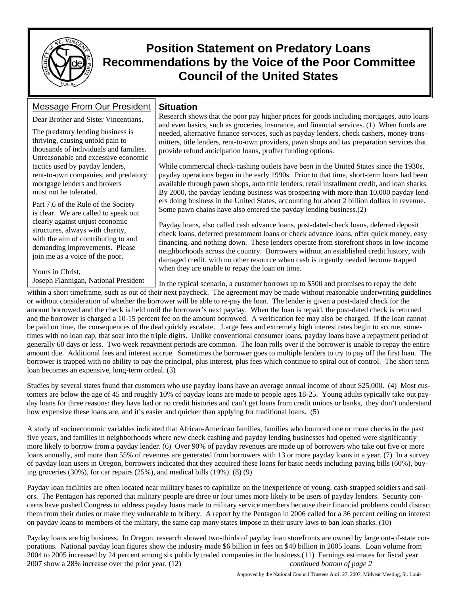

# **Position Statement on Predatory Loans Recommendations by the Voice of the Poor Committee Council of the United States**

### Message From Our President

Dear Brother and Sister Vincentians,

The predatory lending business is thriving, causing untold pain to thousands of individuals and families. Unreasonable and excessive economic tactics used by payday lenders, rent-to-own companies, and predatory mortgage lenders and brokers must not be tolerated.

Part 7.6 of the Rule of the Society is clear. We are called to speak out clearly against unjust economic structures, always with charity, with the aim of contributing to and demanding improvements. Please join me as a voice of the poor.

Yours in Christ, Joseph Flannigan, National President

### **Situation**

Research shows that the poor pay higher prices for goods including mortgages, auto loans and even basics, such as groceries, insurance, and financial services. (1) When funds are needed, alternative finance services, such as payday lenders, check cashers, money transmitters, title lenders, rent-to-own providers, pawn shops and tax preparation services that provide refund anticipation loans, proffer funding options.

While commercial check-cashing outlets have been in the United States since the 1930s, payday operations began in the early 1990s. Prior to that time, short-term loans had been available through pawn shops, auto title lenders, retail installment credit, and loan sharks. By 2000, the payday lending business was prospering with more than 10,000 payday lenders doing business in the United States, accounting for about 2 billion dollars in revenue. Some pawn chains have also entered the payday lending business.(2)

Payday loans, also called cash advance loans, post-dated-check loans, deferred deposit check loans, deferred presentment loans or check advance loans, offer quick money, easy financing, and nothing down. These lenders operate from storefront shops in low-income neighborhoods across the country. Borrowers without an established credit history, with damaged credit, with no other resource when cash is urgently needed become trapped when they are unable to repay the loan on time.

In the typical scenario, a customer borrows up to \$500 and promises to repay the debt within a short timeframe, such as out of their next paycheck. The agreement may be made without reasonable underwriting guidelines or without consideration of whether the borrower will be able to re-pay the loan. The lender is given a post-dated check for the amount borrowed and the check is held until the borrower's next payday. When the loan is repaid, the post-dated check is returned and the borrower is charged a 10-15 percent fee on the amount borrowed. A verification fee may also be charged. If the loan cannot be paid on time, the consequences of the deal quickly escalate. Large fees and extremely high interest rates begin to accrue, sometimes with no loan cap, that soar into the triple digits. Unlike conventional consumer loans, payday loans have a repayment period of generally 60 days or less. Two week repayment periods are common. The loan rolls over if the borrower is unable to repay the entire amount due. Additional fees and interest accrue. Sometimes the borrower goes to multiple lenders to try to pay off the first loan. The borrower is trapped with no ability to pay the principal, plus interest, plus fees which continue to spiral out of control. The short term loan becomes an expensive, long-term ordeal. (3)

Studies by several states found that customers who use payday loans have an average annual income of about \$25,000. (4)Most customers are below the age of 45 and roughly 10% of payday loans are made to people ages 18-25. Young adults typically take out payday loans for three reasons: they have bad or no credit histories and can't get loans from credit unions or banks, they don't understand how expensive these loans are, and it's easier and quicker than applying for traditional loans. (5)

A study of socioeconomic variables indicated that African-American families, families who bounced one or more checks in the past five years, and families in neighborhoods where new check cashing and payday lending businesses had opened were significantly more likely to borrow from a payday lender. (6) Over 90% of payday revenues are made up of borrowers who take out five or more loans annually, and more than 55% of revenues are generated from borrowers with 13 or more payday loans in a year. (7) In a survey of payday loan users in Oregon, borrowers indicated that they acquired these loans for basic needs including paying bills (60%), buying groceries (30%), for car repairs (25%), and medical bills (19%). (8) (9)

Payday loan facilities are often located near military bases to capitalize on the inexperience of young, cash-strapped soldiers and sailors. The Pentagon has reported that military people are three or four times more likely to be users of payday lenders. Security concerns have pushed Congress to address payday loans made to military service members because their financial problems could distract them from their duties or make they vulnerable to bribery. A report by the Pentagon in 2006 called for a 36 percent ceiling on interest on payday loans to members of the military, the same cap many states impose in their usury laws to ban loan sharks. (10)

Payday loans are big business. In Oregon, research showed two-thirds of payday loan storefronts are owned by large out-of-state corporations. National payday loan figures show the industry made \$6 billion in fees on \$40 billion in 2005 loans. Loan volume from 2004 to 2005 increased by 24 percent among six publicly traded companies in the business.(11) Earnings estimates for fiscal year 2007 show a 28% increase over the prior year. (12) *continued bottom of page 2*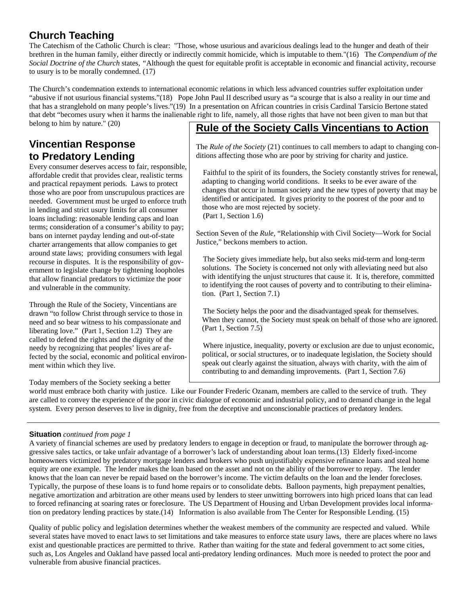# **Church Teaching**

The Catechism of the Catholic Church is clear: "Those, whose usurious and avaricious dealings lead to the hunger and death of their brethren in the human family, either directly or indirectly commit homicide, which is imputable to them."(16) The *Compendium of the Social Doctrine of the Church* states*, "*Although the quest for equitable profit is acceptable in economic and financial activity, recourse to usury is to be morally condemned. (17)

The Church's condemnation extends to international economic relations in which less advanced countries suffer exploitation under "abusive if not usurious financial systems."(18) Pope John Paul II described usury as "a scourge that is also a reality in our time and that has a stranglehold on many people's lives."(19) In a presentation on African countries in crisis Cardinal Tarsicio Bertone stated that debt "becomes usury when it harms the inalienable right to life, namely, all those rights that have not been given to man but that belong to him by nature." (20)

## **Vincentian Response to Predatory Lending**

Every consumer deserves access to fair, responsible, affordable credit that provides clear, realistic terms and practical repayment periods. Laws to protect those who are poor from unscrupulous practices are needed. Government must be urged to enforce truth in lending and strict usury limits for all consumer loans including: reasonable lending caps and loan terms; consideration of a consumer's ability to pay; bans on internet payday lending and out-of-state charter arrangements that allow companies to get around state laws; providing consumers with legal recourse in disputes. It is the responsibility of government to legislate change by tightening loopholes that allow financial predators to victimize the poor and vulnerable in the community.

Through the Rule of the Society, Vincentians are drawn "to follow Christ through service to those in need and so bear witness to his compassionate and liberating love." (Part 1, Section 1.2) They are called to defend the rights and the dignity of the needy by recognizing that peoples' lives are affected by the social, economic and political environment within which they live.

Today members of the Society seeking a better

## **Rule of the Society Calls Vincentians to Action**

The *Rule of the Society* (21) continues to call members to adapt to changing conditions affecting those who are poor by striving for charity and justice.

Faithful to the spirit of its founders, the Society constantly strives for renewal, adapting to changing world conditions. It seeks to be ever aware of the changes that occur in human society and the new types of poverty that may be identified or anticipated. It gives priority to the poorest of the poor and to those who are most rejected by society. (Part 1, Section 1.6)

Section Seven of the *Rule,* "Relationship with Civil Society—Work for Social Justice," beckons members to action.

The Society gives immediate help, but also seeks mid-term and long-term solutions. The Society is concerned not only with alleviating need but also with identifying the unjust structures that cause it. It is, therefore, committed to identifying the root causes of poverty and to contributing to their elimination. (Part 1, Section 7.1)

The Society helps the poor and the disadvantaged speak for themselves. When they cannot, the Society must speak on behalf of those who are ignored. (Part 1, Section 7.5)

Where injustice, inequality, poverty or exclusion are due to unjust economic, political, or social structures, or to inadequate legislation, the Society should speak out clearly against the situation, always with charity, with the aim of contributing to and demanding improvements. (Part 1, Section 7.6)

world must embrace both charity with justice. Like our Founder Frederic Ozanam, members are called to the service of truth. They are called to convey the experience of the poor in civic dialogue of economic and industrial policy, and to demand change in the legal system. Every person deserves to live in dignity, free from the deceptive and unconscionable practices of predatory lenders.

#### **Situation** *continued from page 1*

A variety of financial schemes are used by predatory lenders to engage in deception or fraud, to manipulate the borrower through aggressive sales tactics, or take unfair advantage of a borrower's lack of understanding about loan terms.(13) Elderly fixed-income homeowners victimized by predatory mortgage lenders and brokers who push unjustifiably expensive refinance loans and steal home equity are one example. The lender makes the loan based on the asset and not on the ability of the borrower to repay. The lender knows that the loan can never be repaid based on the borrower's income. The victim defaults on the loan and the lender forecloses. Typically, the purpose of these loans is to fund home repairs or to consolidate debts. Balloon payments, high prepayment penalties, negative amortization and arbitration are other means used by lenders to steer unwitting borrowers into high priced loans that can lead to forced refinancing at soaring rates or foreclosure. The US Department of Housing and Urban Development provides local information on predatory lending practices by state.(14) Information is also available from The Center for Responsible Lending. (15)

Quality of public policy and legislation determines whether the weakest members of the community are respected and valued. While several states have moved to enact laws to set limitations and take measures to enforce state usury laws, there are places where no laws exist and questionable practices are permitted to thrive. Rather than waiting for the state and federal government to act some cities, such as, Los Angeles and Oakland have passed local anti-predatory lending ordinances. Much more is needed to protect the poor and vulnerable from abusive financial practices.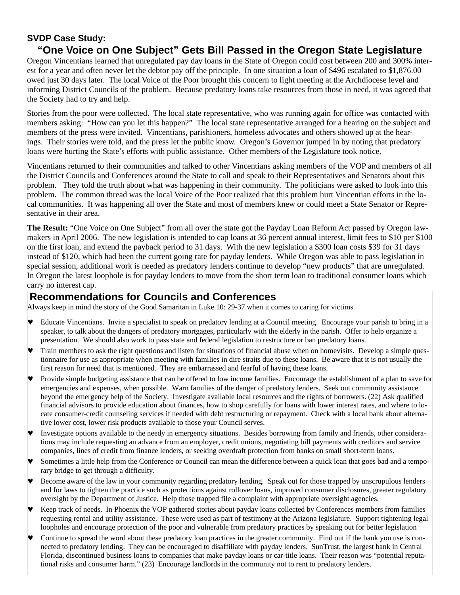### **SVDP Case Study:**

## **"One Voice on One Subject" Gets Bill Passed in the Oregon State Legislature**

Oregon Vincentians learned that unregulated pay day loans in the State of Oregon could cost between 200 and 300% interest for a year and often never let the debtor pay off the principle. In one situation a loan of \$496 escalated to \$1,876.00 owed just 30 days later. The local Voice of the Poor brought this concern to light meeting at the Archdiocese level and informing District Councils of the problem. Because predatory loans take resources from those in need, it was agreed that the Society had to try and help.

Stories from the poor were collected. The local state representative, who was running again for office was contacted with members asking: "How can you let this happen?" The local state representative arranged for a hearing on the subject and members of the press were invited. Vincentians, parishioners, homeless advocates and others showed up at the hearings. Their stories were told, and the press let the public know. Oregon's Governor jumped in by noting that predatory loans were hurting the State's efforts with public assistance. Other members of the Legislature took notice.

Vincentians returned to their communities and talked to other Vincentians asking members of the VOP and members of all the District Councils and Conferences around the State to call and speak to their Representatives and Senators about this problem. They told the truth about what was happening in their community. The politicians were asked to look into this problem. The common thread was the local Voice of the Poor realized that this problem hurt Vincentian efforts in the local communities. It was happening all over the State and most of members knew or could meet a State Senator or Representative in their area.

**The Result:** "One Voice on One Subject" from all over the state got the Payday Loan Reform Act passed by Oregon lawmakers in April 2006. The new legislation is intended to cap loans at 36 percent annual interest, limit fees to \$10 per \$100 on the first loan, and extend the payback period to 31 days. With the new legislation a \$300 loan costs \$39 for 31 days instead of \$120, which had been the current going rate for payday lenders. While Oregon was able to pass legislation in special session, additional work is needed as predatory lenders continue to develop "new products" that are unregulated. In Oregon the latest loophole is for payday lenders to move from the short term loan to traditional consumer loans which carry no interest cap.

### **Recommendations for Councils and Conferences**

Always keep in mind the story of the Good Samaritan in Luke 10: 29-37 when it comes to caring for victims.

- ♥ Educate Vincentians. Invite a specialist to speak on predatory lending at a Council meeting. Encourage your parish to bring in a speaker, to talk about the dangers of predatory mortgages, particularly with the elderly in the parish. Offer to help organize a presentation. We should also work to pass state and federal legislation to restructure or ban predatory loans.
- Train members to ask the right questions and listen for situations of financial abuse when on homevisits. Develop a simple questionnaire for use as appropriate when meeting with families in dire straits due to these loans. Be aware that it is not usually the first reason for need that is mentioned. They are embarrassed and fearful of having these loans.
- Provide simple budgeting assistance that can be offered to low income families. Encourage the establishment of a plan to save for emergencies and expenses, when possible. Warn families of the danger of predatory lenders. Seek out community assistance beyond the emergency help of the Society. Investigate available local resources and the rights of borrowers. (22) Ask qualified financial advisors to provide education about finances, how to shop carefully for loans with lower interest rates, and where to locate consumer-credit counseling services if needed with debt restructuring or repayment. Check with a local bank about alternative lower cost, lower risk products available to those your Council serves.
- Investigate options available to the needy in emergency situations. Besides borrowing from family and friends, other considerations may include requesting an advance from an employer, credit unions, negotiating bill payments with creditors and service companies, lines of credit from finance lenders, or seeking overdraft protection from banks on small short-term loans.
- Sometimes a little help from the Conference or Council can mean the difference between a quick loan that goes bad and a temporary bridge to get through a difficulty.
- Become aware of the law in your community regarding predatory lending. Speak out for those trapped by unscrupulous lenders and for laws to tighten the practice such as protections against rollover loans, improved consumer disclosures, greater regulatory oversight by the Department of Justice. Help those trapped file a complaint with appropriate oversight agencies.
- Keep track of needs. In Phoenix the VOP gathered stories about payday loans collected by Conferences members from families requesting rental and utility assistance. These were used as part of testimony at the Arizona legislature. Support tightening legal loopholes and encourage protection of the poor and vulnerable from predatory practices by speaking out for better legislation
- Continue to spread the word about these predatory loan practices in the greater community. Find out if the bank you use is connected to predatory lending. They can be encouraged to disaffiliate with payday lenders. SunTrust, the largest bank in Central Florida, discontinued business loans to companies that make payday loans or car-title loans. Their reason was "potential reputational risks and consumer harm." (23) Encourage landlords in the community not to rent to predatory lenders.